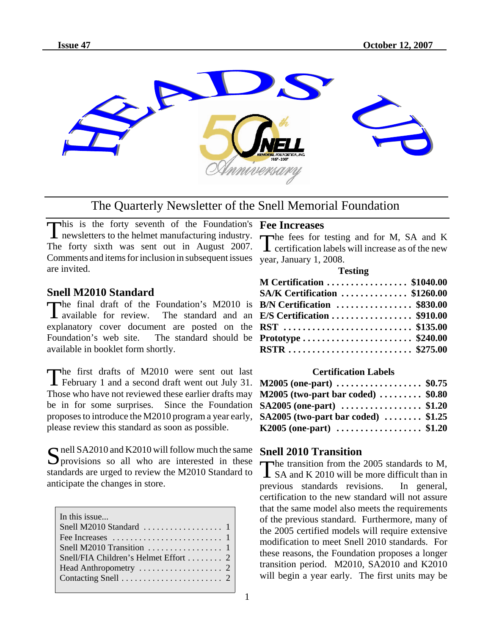

# The Quarterly Newsletter of the Snell Memorial Foundation

This is the forty seventh of the Foundation's newsletters to the helmet manufacturing industry. The forty sixth was sent out in August 2007. Comments and items for inclusion in subsequent issues year, January 1, 2008. are invited.

## **Snell M2010 Standard**

The final draft of the Foundation's M2010 is<br>available for review. The standard and an  $\blacksquare$  available for review. explanatory cover document are posted on the Foundation's web site. The standard should be available in booklet form shortly.

The first drafts of M2010 were sent out last February 1 and a second draft went out July 31. Those who have not reviewed these earlier drafts may be in for some surprises. Since the Foundation proposes to introduce the M2010 program a year early, please review this standard as soon as possible.

Simulated SA2010 and K2010 will follow much the same<br>Sprovisions so all who are interested in these standards are urged to review the M2010 Standard to anticipate the changes in store.

| In this issue                                               |
|-------------------------------------------------------------|
| Snell M2010 Standard $\ldots \ldots \ldots \ldots \ldots 1$ |
|                                                             |
|                                                             |
|                                                             |
| Head Anthropometry $\dots\dots\dots\dots\dots\dots$ 2       |
|                                                             |
|                                                             |

## **Fee Increases**

The fees for testing and for M, SA and K  $\blacktriangle$  certification labels will increase as of the new

#### **Testing**

| M Certification  \$1040.00           |  |
|--------------------------------------|--|
| <b>SA/K Certification  \$1260.00</b> |  |
| <b>B/N Certification  \$830.00</b>   |  |
| E/S Certification \$910.00           |  |
| RST  \$135.00                        |  |
| Prototype  \$240.00                  |  |
| RSTR  \$275.00                       |  |

### **Certification Labels**

| M2005 (one-part) \$0.75                            |  |
|----------------------------------------------------|--|
| $M2005$ (two-part bar coded)  \$0.80               |  |
| SA2005 (one-part)  \$1.20                          |  |
| SA2005 (two-part bar coded) $\ldots \ldots$ \$1.25 |  |
| K2005 (one-part) \$1.20                            |  |

## **Snell 2010 Transition**

The transition from the 2005 standards to M,<br>SA and K 2010 will be more difficult than in<br>previous standards revisions. In general, **I** SA and K 2010 will be more difficult than in previous standards revisions. certification to the new standard will not assure that the same model also meets the requirements of the previous standard. Furthermore, many of the 2005 certified models will require extensive modification to meet Snell 2010 standards. For these reasons, the Foundation proposes a longer transition period. M2010, SA2010 and K2010 will begin a year early. The first units may be